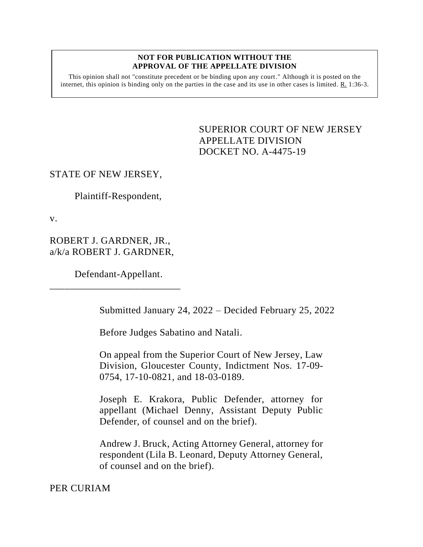#### **NOT FOR PUBLICATION WITHOUT THE APPROVAL OF THE APPELLATE DIVISION**

This opinion shall not "constitute precedent or be binding upon any court." Although it is posted on the internet, this opinion is binding only on the parties in the case and its use in other cases is limited. R. 1:36-3.

> <span id="page-0-0"></span>SUPERIOR COURT OF NEW JERSEY APPELLATE DIVISION DOCKET NO. A-4475-19

## STATE OF NEW JERSEY,

Plaintiff-Respondent,

v.

ROBERT J. GARDNER, JR., a/k/a ROBERT J. GARDNER,

Defendant-Appellant.

\_\_\_\_\_\_\_\_\_\_\_\_\_\_\_\_\_\_\_\_\_\_\_\_\_\_

Submitted January 24, 2022 – Decided February 25, 2022

Before Judges Sabatino and Natali.

On appeal from the Superior Court of New Jersey, Law Division, Gloucester County, Indictment Nos. 17-09- 0754, 17-10-0821, and 18-03-0189.

Joseph E. Krakora, Public Defender, attorney for appellant (Michael Denny, Assistant Deputy Public Defender, of counsel and on the brief).

Andrew J. Bruck, Acting Attorney General, attorney for respondent (Lila B. Leonard, Deputy Attorney General, of counsel and on the brief).

PER CURIAM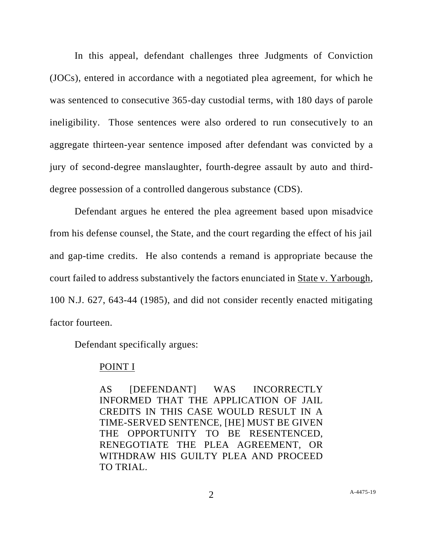In this appeal, defendant challenges three Judgments of Conviction (JOCs), entered in accordance with a negotiated plea agreement, for which he was sentenced to consecutive 365-day custodial terms, with 180 days of parole ineligibility. Those sentences were also ordered to run consecutively to an aggregate thirteen-year sentence imposed after defendant was convicted by a jury of second-degree manslaughter, fourth-degree assault by auto and thirddegree possession of a controlled dangerous substance (CDS).

Defendant argues he entered the plea agreement based upon misadvice from his defense counsel, the State, and the court regarding the effect of his jail and gap-time credits. He also contends a remand is appropriate because the court failed to address substantively the factors enunciated in State v. Yarbough, 100 N.J. 627, 643-44 (1985), and did not consider recently enacted mitigating factor fourteen.

Defendant specifically argues:

### POINT I

AS [DEFENDANT] WAS INCORRECTLY INFORMED THAT THE APPLICATION OF JAIL CREDITS IN THIS CASE WOULD RESULT IN A TIME-SERVED SENTENCE, [HE] MUST BE GIVEN THE OPPORTUNITY TO BE RESENTENCED, RENEGOTIATE THE PLEA AGREEMENT, OR WITHDRAW HIS GUILTY PLEA AND PROCEED TO TRIAL.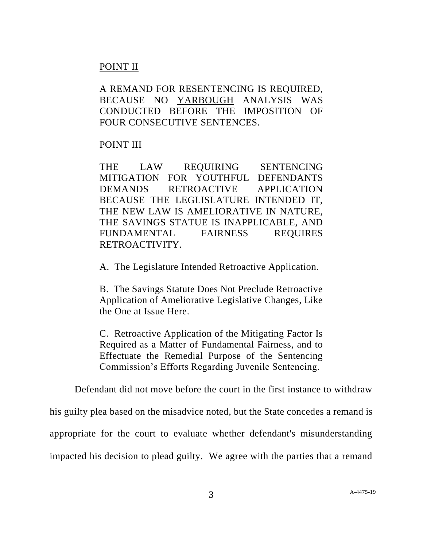# POINT II

A REMAND FOR RESENTENCING IS REQUIRED, BECAUSE NO YARBOUGH ANALYSIS WAS CONDUCTED BEFORE THE IMPOSITION OF FOUR CONSECUTIVE SENTENCES.

## POINT III

THE LAW REQUIRING SENTENCING MITIGATION FOR YOUTHFUL DEFENDANTS DEMANDS RETROACTIVE APPLICATION BECAUSE THE LEGLISLATURE INTENDED IT, THE NEW LAW IS AMELIORATIVE IN NATURE, THE SAVINGS STATUE IS INAPPLICABLE, AND FUNDAMENTAL FAIRNESS REQUIRES RETROACTIVITY.

A. The Legislature Intended Retroactive Application.

B. The Savings Statute Does Not Preclude Retroactive Application of Ameliorative Legislative Changes, Like the One at Issue Here.

C. Retroactive Application of the Mitigating Factor Is Required as a Matter of Fundamental Fairness, and to Effectuate the Remedial Purpose of the Sentencing Commission's Efforts Regarding Juvenile Sentencing.

Defendant did not move before the court in the first instance to withdraw

his guilty plea based on the misadvice noted, but the State concedes a remand is appropriate for the court to evaluate whether defendant's misunderstanding impacted his decision to plead guilty. We agree with the parties that a remand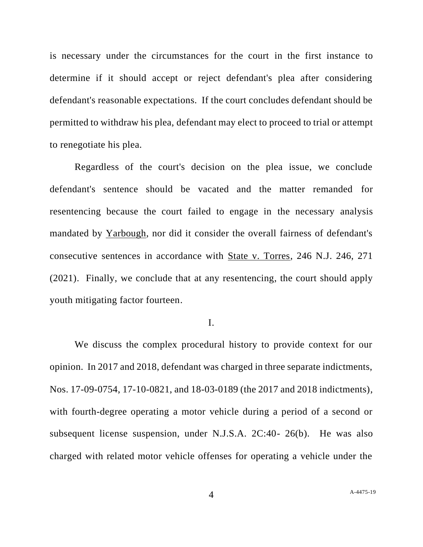is necessary under the circumstances for the court in the first instance to determine if it should accept or reject defendant's plea after considering defendant's reasonable expectations. If the court concludes defendant should be permitted to withdraw his plea, defendant may elect to proceed to trial or attempt to renegotiate his plea.

Regardless of the court's decision on the plea issue, we conclude defendant's sentence should be vacated and the matter remanded for resentencing because the court failed to engage in the necessary analysis mandated by Yarbough, nor did it consider the overall fairness of defendant's consecutive sentences in accordance with State v. Torres, 246 N.J. 246, 271 (2021). Finally, we conclude that at any resentencing, the court should apply youth mitigating factor fourteen.

### I.

We discuss the complex procedural history to provide context for our opinion. In 2017 and 2018, defendant was charged in three separate indictments, Nos. 17-09-0754, 17-10-0821, and 18-03-0189 (the 2017 and 2018 indictments), with fourth-degree operating a motor vehicle during a period of a second or subsequent license suspension, under N.J.S.A. 2C:40- 26(b). He was also charged with related motor vehicle offenses for operating a vehicle under the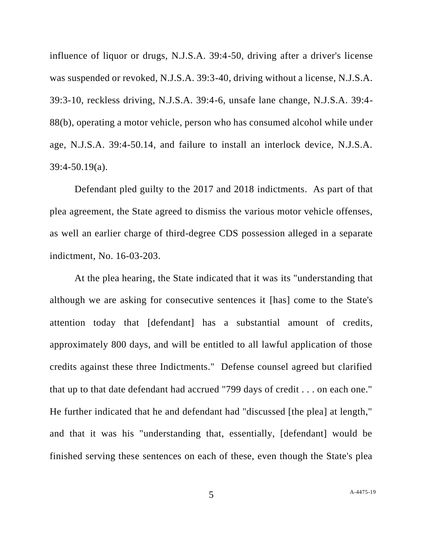influence of liquor or drugs, N.J.S.A. 39:4-50, driving after a driver's license was suspended or revoked, N.J.S.A. 39:3-40, driving without a license, N.J.S.A. 39:3-10, reckless driving, N.J.S.A. 39:4-6, unsafe lane change, N.J.S.A. 39:4- 88(b), operating a motor vehicle, person who has consumed alcohol while under age, N.J.S.A. 39:4-50.14, and failure to install an interlock device, N.J.S.A. 39:4-50.19(a).

Defendant pled guilty to the 2017 and 2018 indictments. As part of that plea agreement, the State agreed to dismiss the various motor vehicle offenses, as well an earlier charge of third-degree CDS possession alleged in a separate indictment, No. 16-03-203.

At the plea hearing, the State indicated that it was its "understanding that although we are asking for consecutive sentences it [has] come to the State's attention today that [defendant] has a substantial amount of credits, approximately 800 days, and will be entitled to all lawful application of those credits against these three Indictments." Defense counsel agreed but clarified that up to that date defendant had accrued "799 days of credit . . . on each one." He further indicated that he and defendant had "discussed [the plea] at length," and that it was his "understanding that, essentially, [defendant] would be finished serving these sentences on each of these, even though the State's plea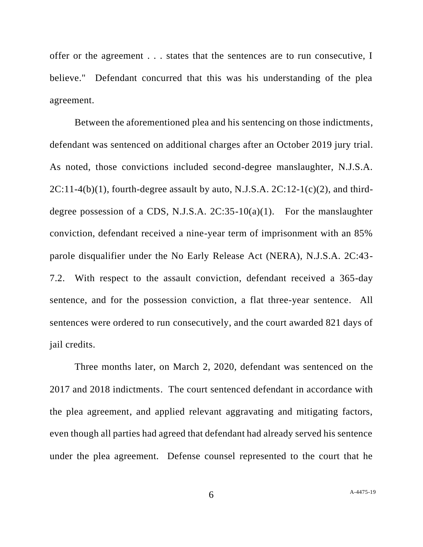offer or the agreement . . . states that the sentences are to run consecutive, I believe." Defendant concurred that this was his understanding of the plea agreement.

Between the aforementioned plea and his sentencing on those indictments, defendant was sentenced on additional charges after an October 2019 jury trial. As noted, those convictions included second-degree manslaughter, N.J.S.A.  $2C:11-4(b)(1)$ , fourth-degree assault by auto, N.J.S.A.  $2C:12-1(c)(2)$ , and thirddegree possession of a CDS, N.J.S.A.  $2C:35-10(a)(1)$ . For the manslaughter conviction, defendant received a nine-year term of imprisonment with an 85% parole disqualifier under the No Early Release Act (NERA), N.J.S.A. 2C:43- 7.2. With respect to the assault conviction, defendant received a 365-day sentence, and for the possession conviction, a flat three-year sentence. All sentences were ordered to run consecutively, and the court awarded 821 days of jail credits.

Three months later, on March 2, 2020, defendant was sentenced on the 2017 and 2018 indictments. The court sentenced defendant in accordance with the plea agreement, and applied relevant aggravating and mitigating factors, even though all parties had agreed that defendant had already served his sentence under the plea agreement. Defense counsel represented to the court that he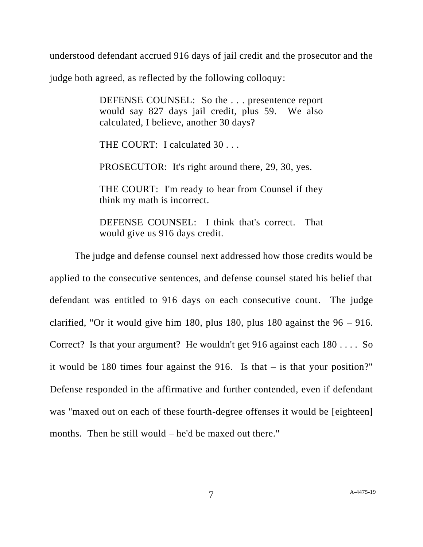understood defendant accrued 916 days of jail credit and the prosecutor and the

judge both agreed, as reflected by the following colloquy:

DEFENSE COUNSEL: So the . . . presentence report would say 827 days jail credit, plus 59. We also calculated, I believe, another 30 days?

THE COURT: I calculated 30 . . .

PROSECUTOR: It's right around there, 29, 30, yes.

THE COURT: I'm ready to hear from Counsel if they think my math is incorrect.

DEFENSE COUNSEL: I think that's correct. That would give us 916 days credit.

The judge and defense counsel next addressed how those credits would be applied to the consecutive sentences, and defense counsel stated his belief that defendant was entitled to 916 days on each consecutive count. The judge clarified, "Or it would give him 180, plus 180, plus 180 against the  $96 - 916$ . Correct? Is that your argument? He wouldn't get 916 against each 180 . . . . So it would be 180 times four against the 916. Is that  $-$  is that your position?" Defense responded in the affirmative and further contended, even if defendant was "maxed out on each of these fourth-degree offenses it would be [eighteen] months. Then he still would – he'd be maxed out there."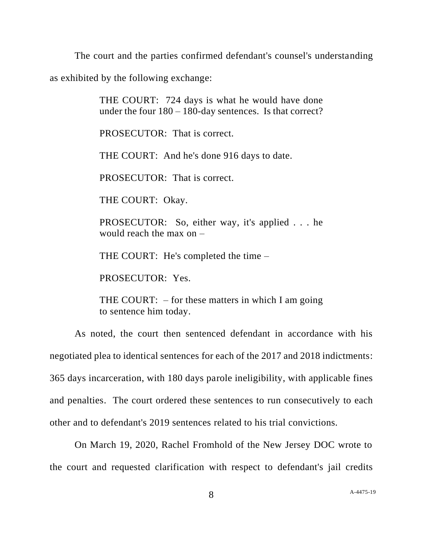The court and the parties confirmed defendant's counsel's understanding

as exhibited by the following exchange:

THE COURT: 724 days is what he would have done under the four 180 – 180-day sentences. Is that correct?

PROSECUTOR: That is correct.

THE COURT: And he's done 916 days to date.

PROSECUTOR: That is correct.

THE COURT: Okay.

PROSECUTOR: So, either way, it's applied . . . he would reach the max on –

THE COURT: He's completed the time –

PROSECUTOR: Yes.

THE COURT:  $-$  for these matters in which I am going to sentence him today.

As noted, the court then sentenced defendant in accordance with his negotiated plea to identical sentences for each of the 2017 and 2018 indictments: 365 days incarceration, with 180 days parole ineligibility, with applicable fines and penalties. The court ordered these sentences to run consecutively to each other and to defendant's 2019 sentences related to his trial convictions.

On March 19, 2020, Rachel Fromhold of the New Jersey DOC wrote to the court and requested clarification with respect to defendant's jail credits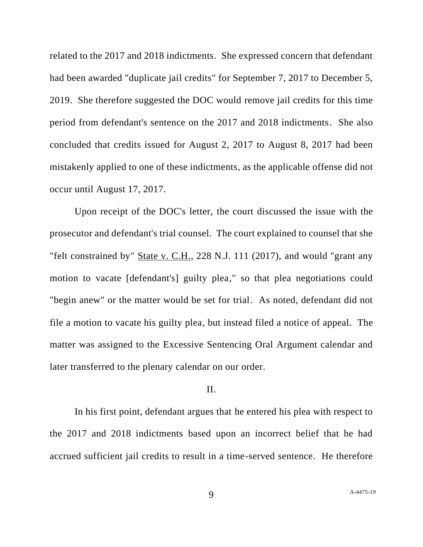related to the 2017 and 2018 indictments. She expressed concern that defendant had been awarded "duplicate jail credits" for September 7, 2017 to December 5, 2019.She therefore suggested the DOC would remove jail credits for this time period from defendant's sentence on the 2017 and 2018 indictments. She also concluded that credits issued for August 2, 2017 to August 8, 2017 had been mistakenly applied to one of these indictments, as the applicable offense did not occur until August 17, 2017.

Upon receipt of the DOC's letter, the court discussed the issue with the prosecutor and defendant's trial counsel. The court explained to counsel that she "felt constrained by" State v. C.H., 228 N.J. 111 (2017), and would "grant any motion to vacate [defendant's] guilty plea," so that plea negotiations could "begin anew" or the matter would be set for trial. As noted, defendant did not file a motion to vacate his guilty plea, but instead filed a notice of appeal. The matter was assigned to the Excessive Sentencing Oral Argument calendar and later transferred to the plenary calendar on our order.

### II.

In his first point, defendant argues that he entered his plea with respect to the 2017 and 2018 indictments based upon an incorrect belief that he had accrued sufficient jail credits to result in a time-served sentence. He therefore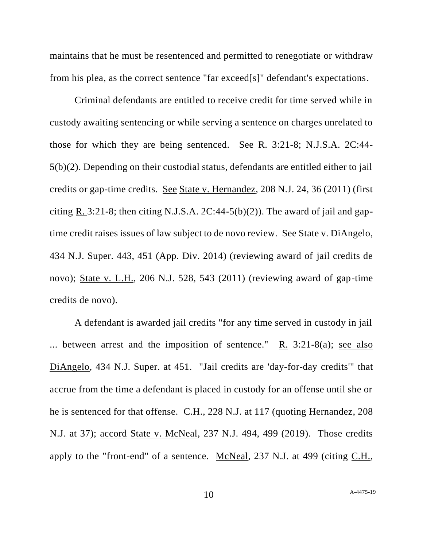maintains that he must be resentenced and permitted to renegotiate or withdraw from his plea, as the correct sentence "far exceed[s]" defendant's expectations.

Criminal defendants are entitled to receive credit for time served while in custody awaiting sentencing or while serving a sentence on charges unrelated to those for which they are being sentenced. See R. 3:21-8; N.J.S.A. 2C:44- 5(b)(2). Depending on their custodial status, defendants are entitled either to jail credits or gap-time credits. See State v. Hernandez, 208 N.J. 24, 36 (2011) (first citing R. 3:21-8; then citing N.J.S.A.  $2C:44-5(b)(2)$ ). The award of jail and gaptime credit raises issues of law subject to de novo review. See State v. DiAngelo, 434 N.J. Super. 443, 451 (App. Div. 2014) (reviewing award of jail credits de novo); State v. L.H., 206 N.J. 528, 543 (2011) (reviewing award of gap-time credits de novo).

A defendant is awarded jail credits "for any time served in custody in jail ... between arrest and the imposition of sentence."  $R_1$  3:21-8(a); see also DiAngelo, 434 N.J. Super. at 451. "Jail credits are 'day-for-day credits'" that accrue from the time a defendant is placed in custody for an offense until she or he is sentenced for that offense. C.H., 228 N.J. at 117 (quoting Hernandez, 208 N.J. at 37); accord State v. McNeal, 237 N.J. 494, 499 (2019). Those credits apply to the "front-end" of a sentence. McNeal, 237 N.J. at 499 (citing C.H.,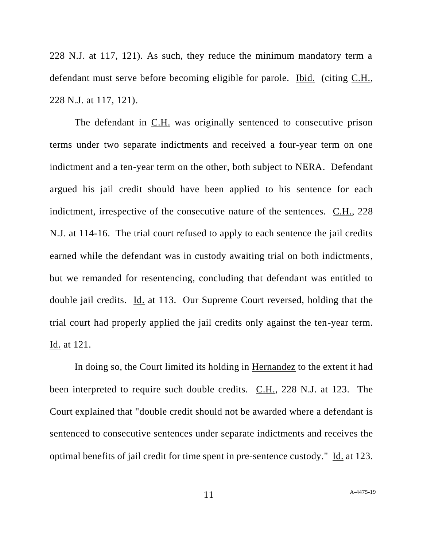228 N.J. at 117, 121). As such, they reduce the minimum mandatory term a defendant must serve before becoming eligible for parole. Ibid. (citing C.H., 228 N.J. at 117, 121).

The defendant in C.H. was originally sentenced to consecutive prison terms under two separate indictments and received a four-year term on one indictment and a ten-year term on the other, both subject to NERA. Defendant argued his jail credit should have been applied to his sentence for each indictment, irrespective of the consecutive nature of the sentences. C.H., 228 N.J. at 114-16. The trial court refused to apply to each sentence the jail credits earned while the defendant was in custody awaiting trial on both indictments, but we remanded for resentencing, concluding that defendant was entitled to double jail credits. Id. at 113. Our Supreme Court reversed, holding that the trial court had properly applied the jail credits only against the ten-year term. Id. at 121.

In doing so, the Court limited its holding in Hernandez to the extent it had been interpreted to require such double credits. C.H., 228 N.J. at 123. The Court explained that "double credit should not be awarded where a defendant is sentenced to consecutive sentences under separate indictments and receives the optimal benefits of jail credit for time spent in pre-sentence custody." Id. at 123.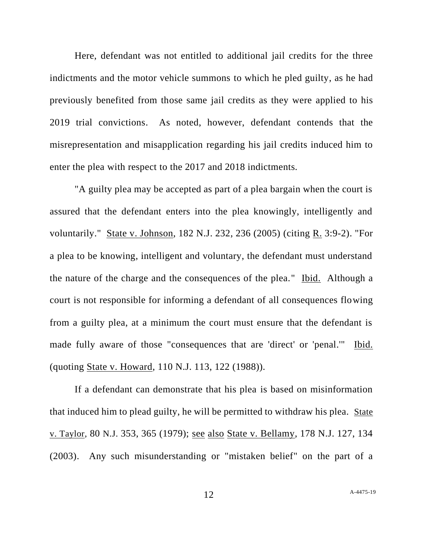Here, defendant was not entitled to additional jail credits for the three indictments and the motor vehicle summons to which he pled guilty, as he had previously benefited from those same jail credits as they were applied to his 2019 trial convictions. As noted, however, defendant contends that the misrepresentation and misapplication regarding his jail credits induced him to enter the plea with respect to the 2017 and 2018 indictments.

"A guilty plea may be accepted as part of a plea bargain when the court is assured that the defendant enters into the plea knowingly, intelligently and voluntarily." State v. Johnson, 182 N.J. 232, 236 (2005) (citing R. 3:9-2). "For a plea to be knowing, intelligent and voluntary, the defendant must understand the nature of the charge and the consequences of the plea." Ibid. Although a court is not responsible for informing a defendant of all consequences flowing from a guilty plea, at a minimum the court must ensure that the defendant is made fully aware of those "consequences that are 'direct' or 'penal.'" Ibid. (quoting State v. Howard, 110 N.J. 113, 122 (1988)).

If a defendant can demonstrate that his plea is based on misinformation that induced him to plead guilty, he will be permitted to withdraw his plea. State v. Taylor, 80 N.J. 353, 365 (1979); see also State v. Bellamy, 178 N.J. 127, 134 (2003). Any such misunderstanding or "mistaken belief" on the part of a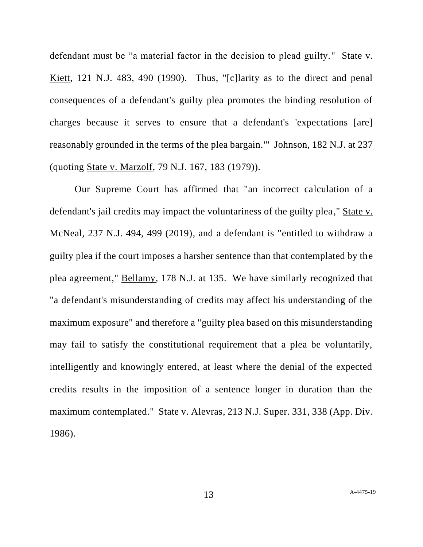defendant must be "a material factor in the decision to plead guilty." State v. Kiett, 121 N.J. 483, 490 (1990). Thus, "[c]larity as to the direct and penal consequences of a defendant's guilty plea promotes the binding resolution of charges because it serves to ensure that a defendant's 'expectations [are] reasonably grounded in the terms of the plea bargain.'" Johnson, 182 N.J. at 237 (quoting State v. Marzolf, 79 N.J. 167, 183 (1979)).

Our Supreme Court has affirmed that "an incorrect calculation of a defendant's jail credits may impact the voluntariness of the guilty plea," State v. McNeal, 237 N.J. 494, 499 (2019), and a defendant is "entitled to withdraw a guilty plea if the court imposes a harsher sentence than that contemplated by the plea agreement," Bellamy, 178 N.J. at 135. We have similarly recognized that "a defendant's misunderstanding of credits may affect his understanding of the maximum exposure" and therefore a "guilty plea based on this misunderstanding may fail to satisfy the constitutional requirement that a plea be voluntarily, intelligently and knowingly entered, at least where the denial of the expected credits results in the imposition of a sentence longer in duration than the maximum contemplated." State v. Alevras, 213 N.J. Super. 331, 338 (App. Div. 1986).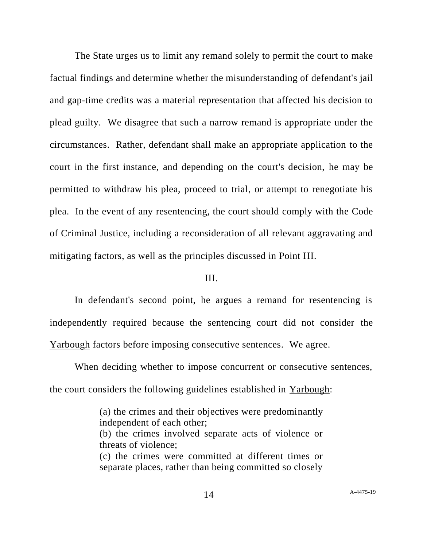The State urges us to limit any remand solely to permit the court to make factual findings and determine whether the misunderstanding of defendant's jail and gap-time credits was a material representation that affected his decision to plead guilty. We disagree that such a narrow remand is appropriate under the circumstances. Rather, defendant shall make an appropriate application to the court in the first instance, and depending on the court's decision, he may be permitted to withdraw his plea, proceed to trial, or attempt to renegotiate his plea. In the event of any resentencing, the court should comply with the Code of Criminal Justice, including a reconsideration of all relevant aggravating and mitigating factors, as well as the principles discussed in Point III.

### III.

In defendant's second point, he argues a remand for resentencing is independently required because the sentencing court did not consider the Yarbough factors before imposing consecutive sentences. We agree.

When deciding whether to impose concurrent or consecutive sentences, the court considers the following guidelines established in  $Y$ arbough:

> (a) the crimes and their objectives were predominantly independent of each other; (b) the crimes involved separate acts of violence or threats of violence; (c) the crimes were committed at different times or separate places, rather than being committed so closely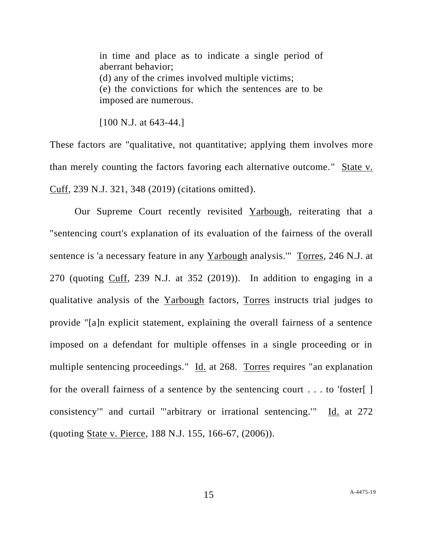in time and place as to indicate a single period of aberrant behavior; (d) any of the crimes involved multiple victims; (e) the convictions for which the sentences are to be imposed are numerous.

[100 N.J. at 643-44.]

These factors are "qualitative, not quantitative; applying them involves more than merely counting the factors favoring each alternative outcome." State v. Cuff, 239 N.J. 321, 348 (2019) (citations omitted).

Our Supreme Court recently revisited Yarbough, reiterating that a "sentencing court's explanation of its evaluation of the fairness of the overall sentence is 'a necessary feature in any Yarbough analysis.'" Torres, 246 N.J. at 270 (quoting Cuff, 239 N.J. at 352 (2019)). In addition to engaging in a qualitative analysis of the Yarbough factors, Torres instructs trial judges to provide "[a]n explicit statement, explaining the overall fairness of a sentence imposed on a defendant for multiple offenses in a single proceeding or in multiple sentencing proceedings." Id. at 268. Torres requires "an explanation for the overall fairness of a sentence by the sentencing court  $\dots$  to 'foster[ ] consistency'" and curtail "'arbitrary or irrational sentencing.'" Id. at 272 (quoting State v. Pierce, 188 N.J. 155, 166-67, (2006)).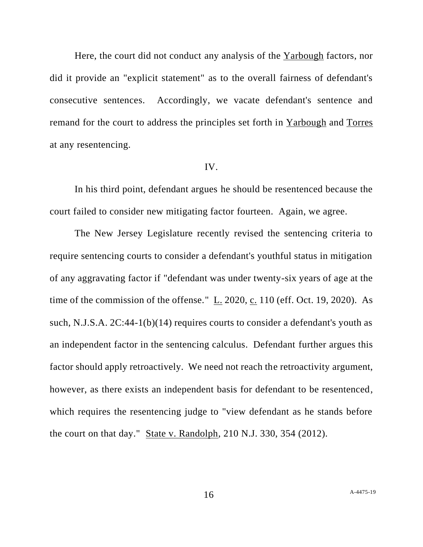Here, the court did not conduct any analysis of the Yarbough factors, nor did it provide an "explicit statement" as to the overall fairness of defendant's consecutive sentences. Accordingly, we vacate defendant's sentence and remand for the court to address the principles set forth in Yarbough and Torres at any resentencing.

#### IV.

In his third point, defendant argues he should be resentenced because the court failed to consider new mitigating factor fourteen. Again, we agree.

The New Jersey Legislature recently revised the sentencing criteria to require sentencing courts to consider a defendant's youthful status in mitigation of any aggravating factor if "defendant was under twenty-six years of age at the time of the commission of the offense." L. 2020, c. 110 (eff. Oct. 19, 2020). As such, N.J.S.A. 2C:44-1(b)(14) requires courts to consider a defendant's youth as an independent factor in the sentencing calculus. Defendant further argues this factor should apply retroactively. We need not reach the retroactivity argument, however, as there exists an independent basis for defendant to be resentenced, which requires the resentencing judge to "view defendant as he stands before the court on that day." State v. Randolph, 210 N.J. 330, 354 (2012).